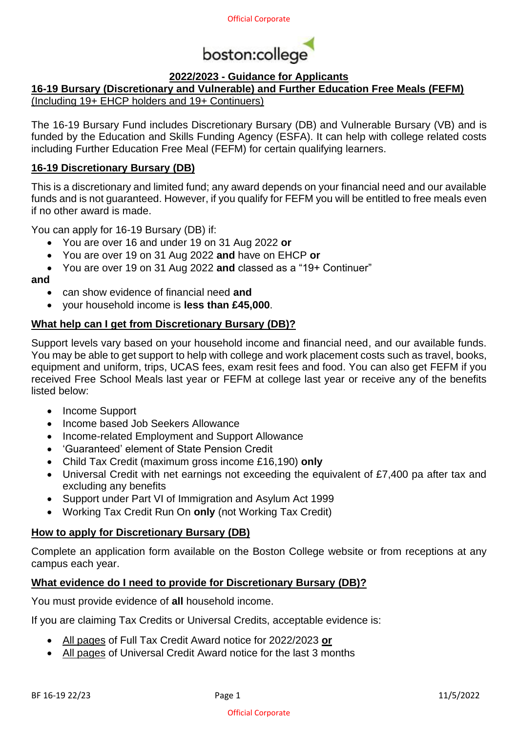

# **2022/2023 - Guidance for Applicants**

# **16-19 Bursary (Discretionary and Vulnerable) and Further Education Free Meals (FEFM)**

(Including 19+ EHCP holders and 19+ Continuers)

The 16-19 Bursary Fund includes Discretionary Bursary (DB) and Vulnerable Bursary (VB) and is funded by the Education and Skills Funding Agency (ESFA). It can help with college related costs including Further Education Free Meal (FEFM) for certain qualifying learners.

## **16-19 Discretionary Bursary (DB)**

This is a discretionary and limited fund; any award depends on your financial need and our available funds and is not guaranteed. However, if you qualify for FEFM you will be entitled to free meals even if no other award is made.

You can apply for 16-19 Bursary (DB) if:

- You are over 16 and under 19 on 31 Aug 2022 **or**
- You are over 19 on 31 Aug 2022 **and** have on EHCP **or**
- You are over 19 on 31 Aug 2022 **and** classed as a "19+ Continuer"

**and**

- can show evidence of financial need **and**
- your household income is **less than £45,000**.

## **What help can I get from Discretionary Bursary (DB)?**

Support levels vary based on your household income and financial need, and our available funds. You may be able to get support to help with college and work placement costs such as travel, books, equipment and uniform, trips, UCAS fees, exam resit fees and food. You can also get FEFM if you received Free School Meals last year or FEFM at college last year or receive any of the benefits listed below:

- Income Support
- Income based Job Seekers Allowance
- Income-related Employment and Support Allowance
- 'Guaranteed' element of State Pension Credit
- Child Tax Credit (maximum gross income £16,190) **only**
- Universal Credit with net earnings not exceeding the equivalent of £7,400 pa after tax and excluding any benefits
- Support under Part VI of Immigration and Asylum Act 1999
- Working Tax Credit Run On **only** (not Working Tax Credit)

#### **How to apply for Discretionary Bursary (DB)**

Complete an application form available on the Boston College website or from receptions at any campus each year.

#### **What evidence do I need to provide for Discretionary Bursary (DB)?**

You must provide evidence of **all** household income.

If you are claiming Tax Credits or Universal Credits, acceptable evidence is:

- All pages of Full Tax Credit Award notice for 2022/2023 **or**
- All pages of Universal Credit Award notice for the last 3 months